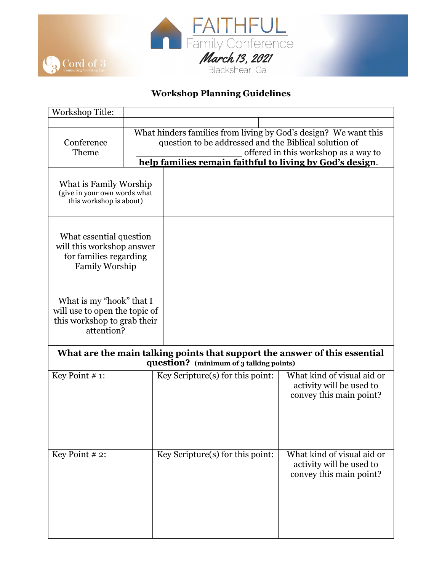

## *RR***Workshop Planning Guidelines**

| <b>Workshop Title:</b>                                                                                                |                                                                                                                                                                                                                              |                                  |                                                                                   |  |  |
|-----------------------------------------------------------------------------------------------------------------------|------------------------------------------------------------------------------------------------------------------------------------------------------------------------------------------------------------------------------|----------------------------------|-----------------------------------------------------------------------------------|--|--|
| Conference<br>Theme                                                                                                   | What hinders families from living by God's design? We want this<br>question to be addressed and the Biblical solution of<br>offered in this workshop as a way to<br>help families remain faithful to living by God's design. |                                  |                                                                                   |  |  |
| What is Family Worship<br>(give in your own words what<br>this workshop is about)                                     |                                                                                                                                                                                                                              |                                  |                                                                                   |  |  |
| What essential question<br>will this workshop answer<br>for families regarding<br>Family Worship                      |                                                                                                                                                                                                                              |                                  |                                                                                   |  |  |
| What is my "hook" that I<br>will use to open the topic of<br>this workshop to grab their<br>attention?                |                                                                                                                                                                                                                              |                                  |                                                                                   |  |  |
| What are the main talking points that support the answer of this essential<br>question? (minimum of 3 talking points) |                                                                                                                                                                                                                              |                                  |                                                                                   |  |  |
| Key Point # 1:                                                                                                        |                                                                                                                                                                                                                              | Key Scripture(s) for this point: | What kind of visual aid or<br>activity will be used to<br>convey this main point? |  |  |
| Key Point #2:                                                                                                         |                                                                                                                                                                                                                              | Key Scripture(s) for this point: | What kind of visual aid or<br>activity will be used to<br>convey this main point? |  |  |